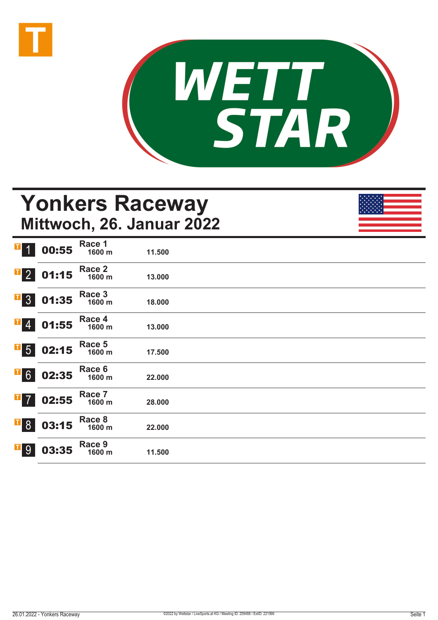



# **Yonkers Raceway Mittwoch, 26. Januar 2022**

| $\mathbf{T}$ 1                         | 00:55                                                                                    | Race 1<br>1600 m | 11.500 |  |  |
|----------------------------------------|------------------------------------------------------------------------------------------|------------------|--------|--|--|
|                                        | $\begin{array}{ c c }\n \hline\n \textbf{1} & \textbf{2} & \textbf{01:15}\n \end{array}$ | Race 2<br>1600 m | 13.000 |  |  |
|                                        | $\begin{array}{ c c } \hline \textbf{I} & 3 & 01:35 \\ \hline \end{array}$               | Race 3<br>1600 m | 18.000 |  |  |
| $\begin{bmatrix} 1 \\ 4 \end{bmatrix}$ | 01:55                                                                                    | Race 4<br>1600 m | 13.000 |  |  |
| $\overline{1}$ 5                       | 02:15                                                                                    | Race 5<br>1600 m | 17.500 |  |  |
| $\overline{1}$ 6                       | 02:35                                                                                    | Race 6<br>1600 m | 22.000 |  |  |
| $\overline{1}$ 7                       | 02:55                                                                                    | Race 7<br>1600 m | 28.000 |  |  |
| $\overline{1}8$                        | 03:15                                                                                    | Race 8<br>1600 m | 22.000 |  |  |
| <b>T</b> <sub>9</sub>                  | 03:35                                                                                    | Race 9<br>1600 m | 11.500 |  |  |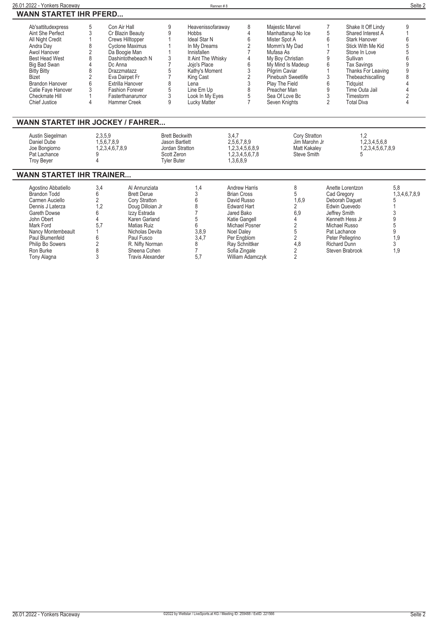| 26.01.2022 - Yonkers Raceway                                                                                                                                                                                                                              |                                                                                            |                                                                                                                                                                                                                                                     |                                                                                                 | Rennen#8                                                                                                                                                                                                       |                                                                                                                                                                                                                             |                                                                                                                                                                                                                                            |                                                                                                                                                                                                                                                                                                                                | Seite 2                                                |
|-----------------------------------------------------------------------------------------------------------------------------------------------------------------------------------------------------------------------------------------------------------|--------------------------------------------------------------------------------------------|-----------------------------------------------------------------------------------------------------------------------------------------------------------------------------------------------------------------------------------------------------|-------------------------------------------------------------------------------------------------|----------------------------------------------------------------------------------------------------------------------------------------------------------------------------------------------------------------|-----------------------------------------------------------------------------------------------------------------------------------------------------------------------------------------------------------------------------|--------------------------------------------------------------------------------------------------------------------------------------------------------------------------------------------------------------------------------------------|--------------------------------------------------------------------------------------------------------------------------------------------------------------------------------------------------------------------------------------------------------------------------------------------------------------------------------|--------------------------------------------------------|
| <b>WANN STARTET IHR PFERD</b>                                                                                                                                                                                                                             |                                                                                            |                                                                                                                                                                                                                                                     |                                                                                                 |                                                                                                                                                                                                                |                                                                                                                                                                                                                             |                                                                                                                                                                                                                                            |                                                                                                                                                                                                                                                                                                                                |                                                        |
| Ab'sattitudexpress<br>Aint She Perfect<br>All Night Credit<br>Andra Day<br>Awol Hanover<br>Best Head West<br><b>Big Bad Swan</b><br><b>Bitty Bitty</b><br><b>Bizet</b><br><b>Brandon Hanover</b><br>Catie Faye Hanover<br>Checkmate Hill<br>Chief Justice | 5<br>3<br>8<br>$\overline{2}$<br>8<br>$\overline{4}$<br>8<br>$\overline{2}$<br>6<br>3<br>4 | Con Air Hall<br>Cr Blazin Beauty<br>Crews Hilltopper<br><b>Cyclone Maximus</b><br>Da Boogie Man<br>Dashintothebeach N<br>Dc Anna<br>Drazzmatazz<br>Eva Dairpet Fr<br>Extrilla Hanover<br><b>Fashion Forever</b><br>Fasterthanarumor<br>Hammer Creek | 9<br>9<br>3<br>7<br>5<br>7<br>8<br>5<br>3<br>9                                                  | Heavenissofaraway<br><b>Hobbs</b><br>Ideal Star N<br>In My Dreams<br>Innisfallen<br>It Aint The Whisky<br>Jojo's Place<br>Kathy's Moment<br>King Cast<br>Lena<br>Line Em Up<br>Look In My Eyes<br>Lucky Matter | 8<br>4<br>6<br>$\overline{2}$<br>4<br>6<br>3<br>$\overline{2}$<br>3<br>8<br>5<br>$\overline{7}$                                                                                                                             | Majestic Marvel<br>Manhattanup No Ice<br>Mister Spot A<br>Momm's My Dad<br>Mufasa As<br>My Boy Christian<br>My Mind Is Madeup<br>Pilgrim Caviar<br>Pinebush Sweetlife<br>Play The Field<br>Preacher Man<br>Sea Of Love Bc<br>Seven Knights | $\overline{7}$<br>Shake It Off Lindy<br>5<br>Shared Interest A<br>6<br><b>Stark Hanover</b><br>Stick With Me Kid<br>Stone In Love<br>9<br>Sullivan<br>6<br><b>Tax Savings</b><br>Thanks For Leaving<br>3<br>Thebeachiscalling<br>6<br>Tidquist<br>9<br>Time Outa Jail<br>3<br>Timestorm<br>$\overline{2}$<br><b>Total Diva</b> | 9<br>6<br>5<br>5<br>6<br>9<br>9                        |
| <b>WANN STARTET IHR JOCKEY / FAHRER</b>                                                                                                                                                                                                                   |                                                                                            |                                                                                                                                                                                                                                                     |                                                                                                 |                                                                                                                                                                                                                |                                                                                                                                                                                                                             |                                                                                                                                                                                                                                            |                                                                                                                                                                                                                                                                                                                                |                                                        |
| Austin Siegelman<br>Daniel Dube<br>Joe Bongiorno<br>Pat Lachance<br><b>Troy Beyer</b>                                                                                                                                                                     | 2,3,5,9<br>1,5,6,7,8,9<br>g<br>4                                                           | 1,2,3,4,6,7,8,9                                                                                                                                                                                                                                     | <b>Brett Beckwith</b><br>Jason Bartlett<br>Jordan Stratton<br>Scott Zeron<br><b>Tvler Buter</b> |                                                                                                                                                                                                                | 3,4,7<br>2,5,6,7,8,9<br>1,2,3,4,5,6,8,9<br>1,2,3,4,5,6,7,8<br>1.3.6.8.9                                                                                                                                                     | Cory Stratton<br>Jim Marohn Jr<br>Matt Kakaley<br><b>Steve Smith</b>                                                                                                                                                                       | 1.2<br>5                                                                                                                                                                                                                                                                                                                       | 1,2,3,4,5,6,8<br>1,2,3,4,5,6,7,8,9                     |
| <b>WANN STARTET IHR TRAINER</b>                                                                                                                                                                                                                           |                                                                                            |                                                                                                                                                                                                                                                     |                                                                                                 |                                                                                                                                                                                                                |                                                                                                                                                                                                                             |                                                                                                                                                                                                                                            |                                                                                                                                                                                                                                                                                                                                |                                                        |
| Agostino Abbatiello<br><b>Brandon Todd</b><br>Carmen Auciello<br>Dennis J Laterza<br>Gareth Dowse<br>John Obert<br>Mark Ford<br>Nancy Montembeault<br>Paul Blumenfeld<br>Philip Bo Sowers<br>Ron Burke<br>Tony Alagna                                     | 3,4<br>6<br>$\overline{2}$<br>1,2<br>6<br>4<br>5,7<br>6<br>2<br>8<br>3                     | Al Annunziata<br><b>Brett Derue</b><br>Cory Stratton<br>Doug Dilloian Jr<br>Izzy Estrada<br>Karen Garland<br>Matias Ruiz<br>Nicholas Devita<br>Paul Fusco<br>R. Nifty Norman<br>Sheena Cohen<br><b>Travis Alexander</b>                             |                                                                                                 | 1,4<br>3<br>6<br>8<br>5<br>6<br>3,8,9<br>3,4,7<br>8<br>5.7                                                                                                                                                     | <b>Andrew Harris</b><br><b>Brian Cross</b><br>David Russo<br><b>Edward Hart</b><br>Jared Bako<br>Katie Gangell<br><b>Michael Posner</b><br>Noel Daley<br>Per Engblom<br>Ray Schnittker<br>Sofia Zingale<br>William Adamczyk | 8<br>5<br>1,6,9<br>2<br>6,9<br>4<br>$\overline{2}$<br>5<br>$\overline{2}$<br>4.8<br>$\overline{2}$<br>$\mathfrak{p}$                                                                                                                       | Anette Lorentzon<br>Cad Gregory<br>Deborah Daquet<br>Edwin Quevedo<br>Jeffrey Smith<br>Kenneth Hess Jr<br>Michael Russo<br>Pat Lachance<br>Peter Pellegrino<br><b>Richard Dunn</b><br>Steven Brabrook                                                                                                                          | 5.8<br>1,3,4,6,7,8,9<br>9<br>5<br>9<br>1,9<br>3<br>1.9 |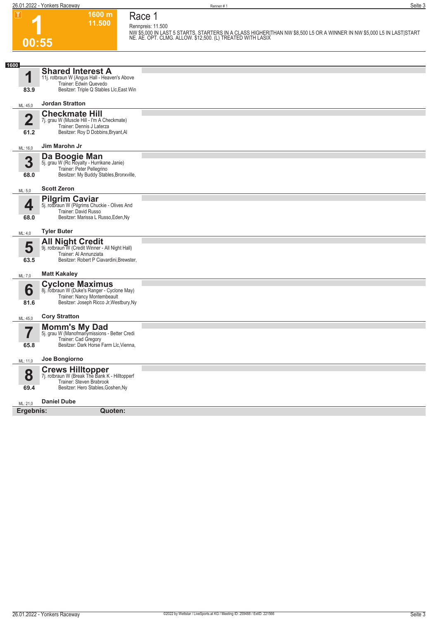**26.01.2022 - Yonkers Raceway** Seite 3

**Race 1 Rennpreis: 11.500**

**1600 m 11.500** 

**1 00:55**

**NW \$5,000 IN LAST 5 STARTS. STARTERS IN A CLASS HIGHER|THAN NW \$8,500 L5 OR A WINNER IN NW \$5,000 L5 IN LAST|START NE. AE. OPT. CLMG. ALLOW. \$12,500. (L) TREATED WITH LASIX** 

| 1600<br><b>Shared Interest A</b><br>1<br>11j. rotbraun W (Angus Hall - Heaven's Above<br>Trainer: Edwin Quevedo<br>Besitzer: Triple Q Stables Llc, East Win<br>83.9 |
|---------------------------------------------------------------------------------------------------------------------------------------------------------------------|
|                                                                                                                                                                     |
| <b>Jordan Stratton</b><br>ML: 45,0                                                                                                                                  |
| <b>Checkmate Hill</b><br>$\overline{\mathbf{2}}$<br>7j. grau W (Muscle Hill - I'm A Checkmate)<br>Trainer: Dennis J Laterza<br>Besitzer: Roy D Dobbins, Bryant, Al  |
| 61.2<br>Jim Marohn Jr                                                                                                                                               |
| ML: 16,0                                                                                                                                                            |
| Da Boogie Man<br>3<br>5j. grau W (Rc Royalty - Hurrikane Janie)<br>Trainer: Peter Pellegrino<br>Besitzer: My Buddy Stables, Bronxville,<br>68.0                     |
| <b>Scott Zeron</b><br>ML: 5,0                                                                                                                                       |
| <b>Pilgrim Caviar</b><br>4<br>5j. rotbraun W (Pilgrims Chuckie - Olives And<br>Trainer: David Russo<br>Besitzer: Marissa L Russo, Eden, Ny<br>68.0                  |
| <b>Tyler Buter</b><br>ML: 4,0                                                                                                                                       |
| <b>All Night Credit</b><br>5<br>9j. rotbraun W (Credit Winner - All Night Hall)<br>Trainer: Al Annunziata<br>63.5<br>Besitzer: Robert P Ciavardini, Brewster,       |
| <b>Matt Kakaley</b><br>ML: 7,0                                                                                                                                      |
| <b>Cyclone Maximus</b><br>6<br>8j. rotbraun W (Duke's Ranger - Cyclone May)<br>Trainer: Nancy Montembeault<br>Besitzer: Joseph Ricco Jr, Westbury, Ny<br>81.6       |
| <b>Cory Stratton</b><br>ML: 45,0                                                                                                                                    |
| <b>Momm's My Dad</b><br>5j. grau W (Manofmanymissions - Better Credi<br>7<br>Trainer: Cad Gregory                                                                   |
| Besitzer: Dark Horse Farm Llc, Vienna,<br>65.8                                                                                                                      |
| Joe Bongiorno<br>ML: 11,0                                                                                                                                           |
| <b>Crews Hilltopper</b><br>8<br>7j. rotbraun W (Break The Bank K - Hilltopperf<br>Trainer: Steven Brabrook<br>69.4<br>Besitzer: Hero Stables, Goshen, Ny            |
| <b>Daniel Dube</b><br>ML: 21,0                                                                                                                                      |
| Ergebnis:<br>Quoten:                                                                                                                                                |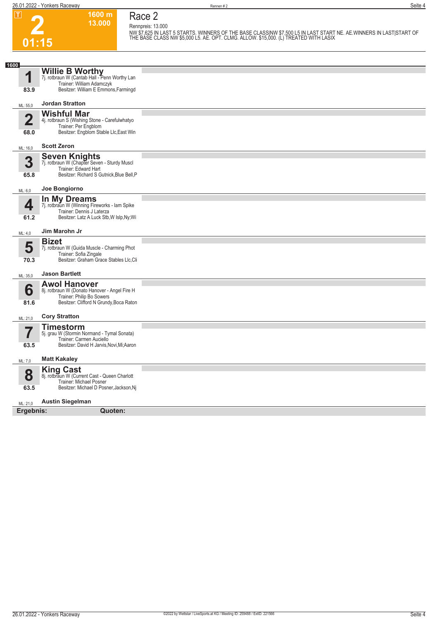**2**

**01:15**

**Race 2 Rennpreis: 13.000**

**1600 m 13.000** 

NW \$7,625 IN LAST 5 STARTS. WINNERS OF THE BASE CLASSINW \$7,500 L5 IN LAST START NE. AE.WINNERS IN LAST|START OF<br>THE BASE CLASS NW \$5,000 L5. AE. OPT. CLMG. ALLOW. \$15,000. (L) TREATED WITH LASIX

| 1600                    |                                                                            |  |
|-------------------------|----------------------------------------------------------------------------|--|
|                         |                                                                            |  |
| 1                       | Willie B Worthy<br>7j. rotbraun W (Cantab Hall - Penn Worthy Lan           |  |
| 83.9                    | Trainer: William Adamczyk<br>Besitzer: William E Emmons, Farmingd          |  |
|                         |                                                                            |  |
| ML: 55,0                | <b>Jordan Stratton</b>                                                     |  |
|                         | <b>Wishful Mar</b>                                                         |  |
| $\overline{\mathbf{2}}$ | 4j. rotbraun S (Wishing Stone - Carefulwhatyo<br>Trainer: Per Engblom      |  |
| 68.0                    | Besitzer: Engblom Stable Llc, East Win                                     |  |
|                         | <b>Scott Zeron</b>                                                         |  |
| ML: 16,0                |                                                                            |  |
| 3                       | <b>Seven Knights</b><br>7j. rotbraun W (Chapter Seven - Sturdy Muscl       |  |
|                         | Trainer: Edward Hart                                                       |  |
| 65.8                    | Besitzer: Richard S Gutnick, Blue Bell, P                                  |  |
| ML: 6,0                 | Joe Bongiorno                                                              |  |
|                         | In My Dreams                                                               |  |
| 4                       | 7j. rotbraun W (Winning Fireworks - Iam Spike<br>Trainer: Dennis J Laterza |  |
| 61.2                    | Besitzer: Latz A Luck Stb, W Islp, Ny; Wi                                  |  |
|                         | Jim Marohn Jr                                                              |  |
| ML: 4,0                 |                                                                            |  |
| 5                       | <b>Bizet</b><br>7j. rotbraun W (Guida Muscle - Charming Phot               |  |
|                         | Trainer: Sofia Zingale                                                     |  |
| 70.3                    | Besitzer: Graham Grace Stables Llc, Cli                                    |  |
| ML: 35,0                | <b>Jason Bartlett</b>                                                      |  |
|                         | <b>Awol Hanover</b>                                                        |  |
| 6                       | 8j. rotbraun W (Donato Hanover - Angel Fire H<br>Trainer: Philip Bo Sowers |  |
| 81.6                    | Besitzer: Clifford N Grundy, Boca Raton                                    |  |
|                         |                                                                            |  |
| ML: 21,0                | <b>Cory Stratton</b>                                                       |  |
|                         | <b>Timestorm</b><br>5j. grau W (Stormin Normand - Tymal Sonata)            |  |
|                         | Trainer: Carmen Auciello                                                   |  |
| 63.5                    | Besitzer: David H Jarvis, Novi, Mi; Aaron                                  |  |
| ML: 7,0                 | <b>Matt Kakaley</b>                                                        |  |
|                         | <b>King Cast</b>                                                           |  |
| 8                       | 8j. rotbraun W (Current Cast - Queen Charlott<br>Trainer: Michael Posner   |  |
| 63.5                    | Besitzer: Michael D Posner, Jackson, Nj                                    |  |
|                         | <b>Austin Siegelman</b>                                                    |  |
| ML: 21.0                |                                                                            |  |
| Ergebnis:               | Quoten:                                                                    |  |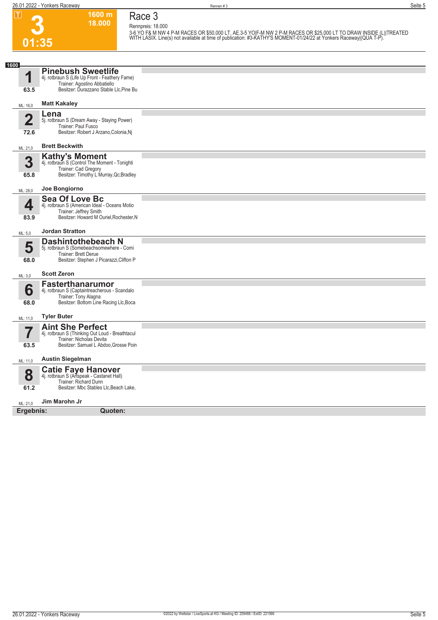#### **Race 3 Rennpreis: 18.000**

**1600 m 18.000** 

|  | ٦ |
|--|---|

3-6 YO F& M NW 4 P-M RACES OR \$50,000 LT. AE.3-5 YO|F-M NW 2 P-M RACES OR \$25,000 LT TO DRAW INSIDE (L)|TREATED<br>WITH LASIX. Line(s) not available at time of publication: #3-KATHY'S MOMENT-01/24/22 at Yonkers Raceway|(QUA T

| 1600                            |                                                                                                                                                        |  |
|---------------------------------|--------------------------------------------------------------------------------------------------------------------------------------------------------|--|
| 1<br>63.5                       | <b>Pinebush Sweetlife</b><br>4j. rotbraun S (Life Up Front - Feathery Fame)<br>Trainer: Agostino Abbatiello<br>Besitzer: Durazzano Stable Llc, Pine Bu |  |
| ML: 16,0                        | <b>Matt Kakaley</b>                                                                                                                                    |  |
|                                 |                                                                                                                                                        |  |
| $\overline{\mathbf{2}}$<br>72.6 | Lena<br>5j. rotbraun S (Dream Away - Staying Power)<br>Trainer: Paul Fusco<br>Besitzer: Robert J Arzano, Colonia, Nj                                   |  |
| ML: 21,0                        | <b>Brett Beckwith</b>                                                                                                                                  |  |
| 3<br>65.8                       | <b>Kathy's Moment</b><br>4j. rotbraun S (Control The Moment - Tonighti<br>Trainer: Cad Gregory<br>Besitzer: Timothy L Murray, Qc; Bradley              |  |
| ML: 28,0                        | Joe Bongiorno                                                                                                                                          |  |
| 4<br>83.9                       | <b>Sea Of Love Bc</b><br>4j. rotbraun S (American Ideal - Oceans Motio<br>Trainer: Jeffrey Smith<br>Besitzer: Howard M Ouriel, Rochester, N            |  |
| ML: 5,0                         | <b>Jordan Stratton</b>                                                                                                                                 |  |
| 5<br>68.0                       | <b>Dashintothebeach N</b><br>5j. rotbraun S (Somebeachsomewhere - Comi<br>Trainer: Brett Derue<br>Besitzer: Stephen J Picarazzi, Clifton P             |  |
| ML: 3,0                         | <b>Scott Zeron</b>                                                                                                                                     |  |
| 6<br>68.0                       | <b>Fasterthanarumor</b><br>4j. rotbraun S (Captaintreacherous - Scandalo<br>Trainer: Tony Alagna<br>Besitzer: Bottom Line Racing Llc, Boca             |  |
| ML: 11,0                        | <b>Tyler Buter</b>                                                                                                                                     |  |
| 7<br>63.5                       | <b>Aint She Perfect</b><br>4j. rotbraun S (Thinking Out Loud - Breathtacul<br>Trainer: Nicholas Devita<br>Besitzer: Samuel L Abdoo, Grosse Poin        |  |
| ML: 11,0                        | <b>Austin Siegelman</b>                                                                                                                                |  |
| 8<br>61.2                       | <b>Catie Faye Hanover</b><br>4j. rotbraun S (Artspeak - Castanet Hall)<br>Trainer: Richard Dunn<br>Besitzer: Mbc Stables Llc, Beach Lake,              |  |
| ML: 21,0                        | Jim Marohn Jr                                                                                                                                          |  |
| Ergebnis:                       | Quoten:                                                                                                                                                |  |
|                                 |                                                                                                                                                        |  |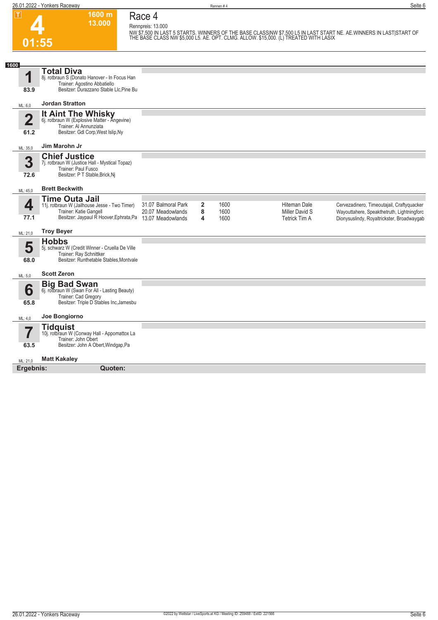**4**

**01:55**

**Race 4**

**Rennpreis: 13.000**

**1600 m 13.000** 

NW \$7,500 IN LAST 5 STARTS. WINNERS OF THE BASE CLASSINW \$7,500 L5 IN LAST START NE. AE WINNERS IN LAST|START OF<br>THE BASE CLASS NW \$5,000 L5. AE. OPT. CLMG. ALLOW. \$15,000. (L) TREATED WITH LASIX

| 1600                            |                                                                                                                                               |                                                               |                          |                      |                                                               |                                                                                                                                        |
|---------------------------------|-----------------------------------------------------------------------------------------------------------------------------------------------|---------------------------------------------------------------|--------------------------|----------------------|---------------------------------------------------------------|----------------------------------------------------------------------------------------------------------------------------------------|
| 1<br>83.9                       | <b>Total Diva</b><br>8j. rotbraun S (Donato Hanover - In Focus Han<br>Trainer: Agostino Abbatiello<br>Besitzer: Durazzano Stable Llc, Pine Bu |                                                               |                          |                      |                                                               |                                                                                                                                        |
| ML: 6,0                         | <b>Jordan Stratton</b>                                                                                                                        |                                                               |                          |                      |                                                               |                                                                                                                                        |
| $\overline{\mathbf{2}}$<br>61.2 | <b>It Aint The Whisky</b><br>6j. rotbraun W (Explosive Matter - Angevine)<br>Trainer: Al Annunziata<br>Besitzer: Gdl Corp, West Islip, Ny     |                                                               |                          |                      |                                                               |                                                                                                                                        |
| ML: 35,0                        | Jim Marohn Jr                                                                                                                                 |                                                               |                          |                      |                                                               |                                                                                                                                        |
| 3<br>72.6                       | <b>Chief Justice</b><br>7j. rotbraun W (Justice Hall - Mystical Topaz)<br>Trainer: Paul Fusco<br>Besitzer: P T Stable, Brick, Nj              |                                                               |                          |                      |                                                               |                                                                                                                                        |
| ML: 45,0                        | <b>Brett Beckwith</b>                                                                                                                         |                                                               |                          |                      |                                                               |                                                                                                                                        |
| 4<br>77.1                       | <b>Time Outa Jail</b><br>11j. rotbraun W (Jailhouse Jesse - Two Timer)<br>Trainer: Katie Gangell<br>Besitzer: Jaypaul R Hoover, Ephrata, Pa   | 31.07 Balmoral Park<br>20.07 Meadowlands<br>13.07 Meadowlands | $\overline{2}$<br>8<br>4 | 1600<br>1600<br>1600 | <b>Hiteman Dale</b><br>Miller David S<br><b>Tetrick Tim A</b> | Cervezadinero, Timeoutajail, Craftyquacker<br>Wayouttahere, Speakthetruth, Lightningforc<br>Dionysuslindy, Royaltrickster, Broadwaygab |
| ML: 21,0                        | <b>Troy Beyer</b>                                                                                                                             |                                                               |                          |                      |                                                               |                                                                                                                                        |
| 5<br>68.0                       | <b>Hobbs</b><br>5j. schwarz W (Credit Winner - Cruella De Ville<br>Trainer: Ray Schnittker<br>Besitzer: Runthetable Stables, Montvale         |                                                               |                          |                      |                                                               |                                                                                                                                        |
| ML: 5,0                         | <b>Scott Zeron</b>                                                                                                                            |                                                               |                          |                      |                                                               |                                                                                                                                        |
| 6<br>65.8                       | Big Bad Swan<br>6j. rotbraun W (Swan For All - Lasting Beauty)<br>Trainer: Cad Gregory<br>Besitzer: Triple D Stables Inc, Jamesbu             |                                                               |                          |                      |                                                               |                                                                                                                                        |
| ML: 4,0                         | Joe Bongiorno                                                                                                                                 |                                                               |                          |                      |                                                               |                                                                                                                                        |
| 7<br>63.5                       | <b>Tidquist</b><br>10j. rotbraun W (Conway Hall - Appomattox La<br>Trainer: John Obert<br>Besitzer: John A Obert, Windgap, Pa                 |                                                               |                          |                      |                                                               |                                                                                                                                        |
| ML: 21,0                        | <b>Matt Kakaley</b>                                                                                                                           |                                                               |                          |                      |                                                               |                                                                                                                                        |
| Ergebnis:                       | Quoten:                                                                                                                                       |                                                               |                          |                      |                                                               |                                                                                                                                        |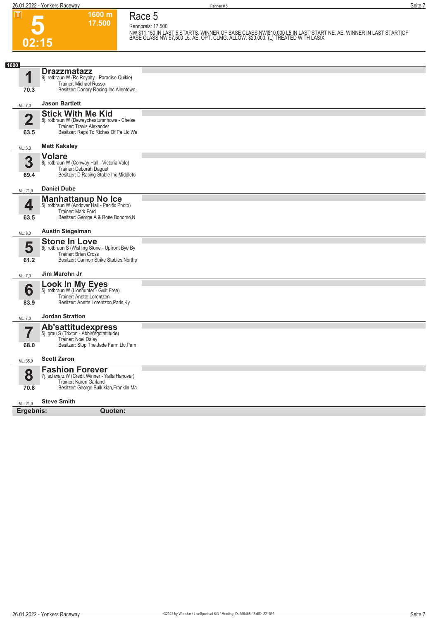**5**

**02:15**

**Race 5 Rennpreis: 17.500**

**1600 m 17.500** 

NW \$11,150 IN LAST 5 STARTS. WINNER OF BASE CLASS NW|\$10,000 L5 IN LAST START NE. AE. WINNER IN LAST START|OF<br>BASE CLASS NW \$7,500 L5. AE. OPT. CLMG. ALLOW. \$20,000. (L) TREATED WITH LASIX

| 1600      |                                                                                                                                               |  |
|-----------|-----------------------------------------------------------------------------------------------------------------------------------------------|--|
| 1         | <b>Drazzmatazz</b><br>9j. rotbraun W (Rc Royalty - Paradise Quikie)<br>Trainer: Michael Russo                                                 |  |
| 70.3      | Besitzer: Danbry Racing Inc, Allentown,                                                                                                       |  |
| ML: 7,0   | <b>Jason Bartlett</b>                                                                                                                         |  |
| 2<br>63.5 | <b>Stick With Me Kid</b><br>8j. rotbraun W (Deweycheatumnhowe - Chelse<br>Trainer: Travis Alexander<br>Besitzer: Rags To Riches Of Pa Llc, Wa |  |
| ML: 3,0   | <b>Matt Kakaley</b>                                                                                                                           |  |
| 3<br>69.4 | <b>Volare</b><br>8j. rotbraun W (Conway Hall - Victoria Volo)<br>Trainer: Deborah Daguet<br>Besitzer: D Racing Stable Inc, Middleto           |  |
| ML: 21,0  | <b>Daniel Dube</b>                                                                                                                            |  |
| 4<br>63.5 | <b>Manhattanup No Ice</b><br>5j. rotbraun W (Andover Hall - Pacific Photo)<br>Trainer: Mark Ford<br>Besitzer: George A & Rose Bonomo, N       |  |
| ML: 8,0   | <b>Austin Siegelman</b>                                                                                                                       |  |
| 5<br>61.2 | <b>Stone In Love</b><br>6j. rotbraun S (Wishing Stone - Upfront Bye By<br>Trainer: Brian Cross<br>Besitzer: Cannon Strike Stables, Northp     |  |
| ML: 7,0   | Jim Marohn Jr                                                                                                                                 |  |
| 6<br>83.9 | <b>Look In My Eyes</b><br>5j. rotbraun W (Lionhunter - Guilt Free)<br>Trainer: Anette Lorentzon<br>Besitzer: Anette Lorentzon, Paris, Ky      |  |
| ML: 7,0   | <b>Jordan Stratton</b>                                                                                                                        |  |
| 7<br>68.0 | Ab'sattitudexpress<br>5j. grau S (Trixton - Abbie'sgotattitude)<br>Trainer: Noel Daley<br>Besitzer: Stop The Jade Farm Llc, Pem               |  |
| ML: 35,0  | <b>Scott Zeron</b>                                                                                                                            |  |
| 8<br>70.8 | <b>Fashion Forever</b><br>7j. schwarz W (Credit Winner - Yalta Hanover)<br>Trainer: Karen Garland<br>Besitzer: George Bullukian, Franklin, Ma |  |
| ML: 21,0  | <b>Steve Smith</b>                                                                                                                            |  |
| Ergebnis: | Quoten:                                                                                                                                       |  |
|           |                                                                                                                                               |  |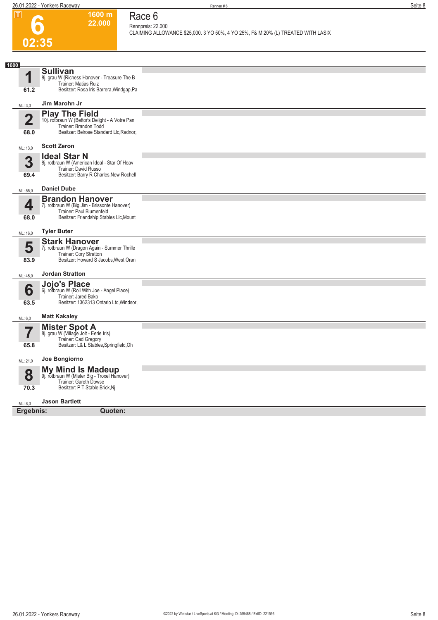# **6 02:35**

### **Race 6 Rennpreis: 22.000**

**1600 m 22.000** 

**CLAIMING ALLOWANCE \$25,000. 3 YO 50%, 4 YO 25%, F& M|20% (L) TREATED WITH LASIX** 

| 1600        |                                                                          |  |
|-------------|--------------------------------------------------------------------------|--|
| 1           | <b>Sullivan</b><br>8j. grau W (Richess Hanover - Treasure The B          |  |
|             | Trainer: Matias Ruiz                                                     |  |
| 61.2        | Besitzer: Rosa Iris Barrera, Windgap, Pa                                 |  |
| ML: 3,0     | Jim Marohn Jr                                                            |  |
| $\mathbf 2$ | <b>Play The Field</b><br>10j. rotbraun W (Bettor's Delight - A Votre Pan |  |
|             | Trainer: Brandon Todd                                                    |  |
| 68.0        | Besitzer: Belrose Standard Llc, Radnor,                                  |  |
| ML: 13,0    | <b>Scott Zeron</b>                                                       |  |
| 3           | <b>Ideal Star N</b><br>8j. rotbraun W (American Ideal - Star Of Heav     |  |
|             | Trainer: David Russo                                                     |  |
| 69.4        | Besitzer: Barry R Charles, New Rochell                                   |  |
| ML: 55,0    | <b>Daniel Dube</b>                                                       |  |
| 4           | <b>Brandon Hanover</b><br>7j. rotbraun W (Big Jim - Brissonte Hanover)   |  |
|             | Trainer: Paul Blumenfeld                                                 |  |
| 68.0        | Besitzer: Friendship Stables Llc, Mount                                  |  |
| ML: 16,0    | <b>Tyler Buter</b>                                                       |  |
| 5           | <b>Stark Hanover</b><br>7j. rotbraun W (Dragon Again - Summer Thrille    |  |
| 83.9        | Trainer: Cory Stratton<br>Besitzer: Howard S Jacobs, West Oran           |  |
|             |                                                                          |  |
| ML: 45,0    | <b>Jordan Stratton</b>                                                   |  |
| 6           | Jojo's Place<br>6j. rotbraun W (Roll With Joe - Angel Place)             |  |
|             | Trainer: Jared Bako<br>Besitzer: 1362313 Ontario Ltd, Windsor,           |  |
| 63.5        |                                                                          |  |
| ML: 6,0     | <b>Matt Kakaley</b>                                                      |  |
|             | <b>Mister Spot A</b><br>8j. grau W (Village Jolt - Eerie Iris)           |  |
| 65.8        | Trainer: Cad Gregory<br>Besitzer: L& L Stables, Springfield, Oh          |  |
|             |                                                                          |  |
| ML: 21,0    | Joe Bongiorno                                                            |  |
| 8           | <b>My Mind Is Madeup</b><br>9j. rotbraun W (Mister Big - Troxel Hanover) |  |
| 70.3        | Trainer: Gareth Dowse<br>Besitzer: P T Stable, Brick, Nj                 |  |
|             |                                                                          |  |
| ML: 8,0     | <b>Jason Bartlett</b>                                                    |  |
| Ergebnis:   | Quoten:                                                                  |  |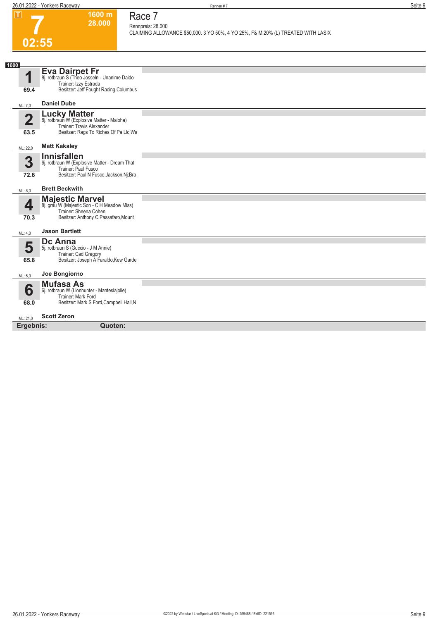**1600 m 28.000**  **Race 7 Rennpreis: 28.000**

**CLAIMING ALLOWANCE \$50,000. 3 YO 50%, 4 YO 25%, F& M|20% (L) TREATED WITH LASIX** 

# **7 02:55**

| 1600                            |                                                                                                                                          |  |  |  |  |
|---------------------------------|------------------------------------------------------------------------------------------------------------------------------------------|--|--|--|--|
| 4                               | Eva Dairpet Fr<br>8j. rotbraun S (Theo Josseln - Unanime Daido<br>Trainer: Izzy Estrada                                                  |  |  |  |  |
| 69.4                            | Besitzer: Jeff Fought Racing, Columbus                                                                                                   |  |  |  |  |
| ML: 7,0                         | <b>Daniel Dube</b>                                                                                                                       |  |  |  |  |
| $\overline{\mathbf{2}}$<br>63.5 | <b>Lucky Matter</b><br>8j. rotbraun W (Explosive Matter - Maloha)<br>Trainer: Travis Alexander<br>Besitzer: Rags To Riches Of Pa Llc, Wa |  |  |  |  |
| ML: 22,0                        | <b>Matt Kakaley</b>                                                                                                                      |  |  |  |  |
| 3<br>72.6                       | <b>Innisfallen</b><br>6j. rotbraun W (Explosive Matter - Dream That<br>Trainer: Paul Fusco<br>Besitzer: Paul N Fusco, Jackson, Nj; Bra   |  |  |  |  |
| ML: 8,0                         | <b>Brett Beckwith</b>                                                                                                                    |  |  |  |  |
| 4<br>70.3                       | <b>Majestic Marvel</b><br>8j. grau W (Majestic Son - C H Meadow Miss)<br>Trainer: Sheena Cohen<br>Besitzer: Anthony C Passafaro, Mount   |  |  |  |  |
| ML: 4,0                         | <b>Jason Bartlett</b>                                                                                                                    |  |  |  |  |
| 5<br>65.8                       | <b>Dc Anna</b><br>5j. rotbraun S (Guccio - J M Annie)<br>Trainer: Cad Gregory<br>Besitzer: Joseph A Faraldo, Kew Garde                   |  |  |  |  |
| ML: 5,0                         | Joe Bongiorno                                                                                                                            |  |  |  |  |
| 6                               | <b>Mufasa As</b><br>6j. rotbraun W (Lionhunter - Manteslajolie)<br>Trainer: Mark Ford                                                    |  |  |  |  |
| 68.0                            | Besitzer: Mark S Ford, Campbell Hall, N                                                                                                  |  |  |  |  |
| ML: 21,0                        | <b>Scott Zeron</b>                                                                                                                       |  |  |  |  |
|                                 | Ergebnis:<br>Quoten:                                                                                                                     |  |  |  |  |
|                                 |                                                                                                                                          |  |  |  |  |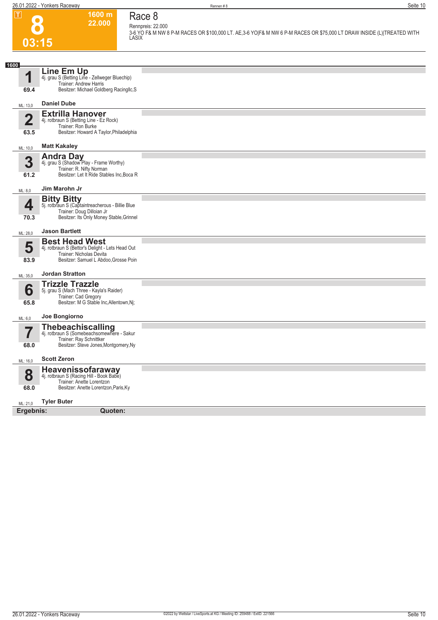

### **Race 8 Rennpreis: 22.000**

**1600 m 22.000** 

**3-6 YO F& M NW 8 P-M RACES OR \$100,000 LT. AE,3-6 YO|F& M NW 6 P-M RACES OR \$75,000 LT DRAW INSIDE (L)|TREATED WITH LASIX** 

| Line Em Up<br>4<br>4j. grau S (Betting Line - Zellweger Bluechip)<br>Trainer: Andrew Harris<br>Besitzer: Michael Goldberg Racingllc, S<br>69.4<br><b>Daniel Dube</b><br>ML: 13,0<br><b>Extrilla Hanover</b><br>$\overline{2}$<br>4j. rotbraun S (Betting Line - Ez Rock)<br>Trainer: Ron Burke<br>Besitzer: Howard A Taylor, Philadelphia<br>63.5<br><b>Matt Kakaley</b><br>ML: 10,0<br><b>Andra Day</b><br>3<br>4j. grau S (Shadow Play - Frame Worthy)<br>Trainer: R. Nifty Norman<br>Besitzer: Let It Ride Stables Inc. Boca R<br>61.2<br>Jim Marohn Jr<br>ML: 8,0<br><b>Bitty Bitty</b><br>4<br>5j. rotbraun S (Captaintreacherous - Billie Blue<br>Trainer: Doug Dilloian Jr<br>Besitzer: Its Only Money Stable, Grinnel<br>70.3<br><b>Jason Bartlett</b><br>ML: 28,0<br><b>Best Head West</b><br>5<br>4j. rotbraun S (Bettor's Delight - Lets Head Out<br>Trainer: Nicholas Devita<br>Besitzer: Samuel L Abdoo, Grosse Poin<br>83.9<br><b>Jordan Stratton</b><br>ML: 35,0<br><b>Trizzle Trazzle</b><br>6<br>5j. grau S (Mach Three - Kayla's Raider)<br>Trainer: Cad Gregory<br>Besitzer: M G Stable Inc, Allentown, Nj;<br>65.8<br>Joe Bongiorno<br>ML: 6,0<br>Thebeachiscalling<br>4j. rotbraun S (Somebeachsomewhere - Sakur<br>7<br>Trainer: Ray Schnittker<br>Besitzer: Steve Jones, Montgomery, Ny<br>68.0<br><b>Scott Zeron</b><br>ML: 16,0<br>Heavenissofaraway<br>8<br>4j. rotbraun S (Racing Hill - Book Babe)<br>Trainer: Anette Lorentzon<br>Besitzer: Anette Lorentzon, Paris, Ky<br>68.0<br><b>Tyler Buter</b><br>ML: 21,0<br>Ergebnis:<br>Quoten: | 1600 |  |
|------------------------------------------------------------------------------------------------------------------------------------------------------------------------------------------------------------------------------------------------------------------------------------------------------------------------------------------------------------------------------------------------------------------------------------------------------------------------------------------------------------------------------------------------------------------------------------------------------------------------------------------------------------------------------------------------------------------------------------------------------------------------------------------------------------------------------------------------------------------------------------------------------------------------------------------------------------------------------------------------------------------------------------------------------------------------------------------------------------------------------------------------------------------------------------------------------------------------------------------------------------------------------------------------------------------------------------------------------------------------------------------------------------------------------------------------------------------------------------------------------------------------------------------------------------------------|------|--|
|                                                                                                                                                                                                                                                                                                                                                                                                                                                                                                                                                                                                                                                                                                                                                                                                                                                                                                                                                                                                                                                                                                                                                                                                                                                                                                                                                                                                                                                                                                                                                                        |      |  |
|                                                                                                                                                                                                                                                                                                                                                                                                                                                                                                                                                                                                                                                                                                                                                                                                                                                                                                                                                                                                                                                                                                                                                                                                                                                                                                                                                                                                                                                                                                                                                                        |      |  |
|                                                                                                                                                                                                                                                                                                                                                                                                                                                                                                                                                                                                                                                                                                                                                                                                                                                                                                                                                                                                                                                                                                                                                                                                                                                                                                                                                                                                                                                                                                                                                                        |      |  |
|                                                                                                                                                                                                                                                                                                                                                                                                                                                                                                                                                                                                                                                                                                                                                                                                                                                                                                                                                                                                                                                                                                                                                                                                                                                                                                                                                                                                                                                                                                                                                                        |      |  |
|                                                                                                                                                                                                                                                                                                                                                                                                                                                                                                                                                                                                                                                                                                                                                                                                                                                                                                                                                                                                                                                                                                                                                                                                                                                                                                                                                                                                                                                                                                                                                                        |      |  |
|                                                                                                                                                                                                                                                                                                                                                                                                                                                                                                                                                                                                                                                                                                                                                                                                                                                                                                                                                                                                                                                                                                                                                                                                                                                                                                                                                                                                                                                                                                                                                                        |      |  |
|                                                                                                                                                                                                                                                                                                                                                                                                                                                                                                                                                                                                                                                                                                                                                                                                                                                                                                                                                                                                                                                                                                                                                                                                                                                                                                                                                                                                                                                                                                                                                                        |      |  |
|                                                                                                                                                                                                                                                                                                                                                                                                                                                                                                                                                                                                                                                                                                                                                                                                                                                                                                                                                                                                                                                                                                                                                                                                                                                                                                                                                                                                                                                                                                                                                                        |      |  |
|                                                                                                                                                                                                                                                                                                                                                                                                                                                                                                                                                                                                                                                                                                                                                                                                                                                                                                                                                                                                                                                                                                                                                                                                                                                                                                                                                                                                                                                                                                                                                                        |      |  |
|                                                                                                                                                                                                                                                                                                                                                                                                                                                                                                                                                                                                                                                                                                                                                                                                                                                                                                                                                                                                                                                                                                                                                                                                                                                                                                                                                                                                                                                                                                                                                                        |      |  |
|                                                                                                                                                                                                                                                                                                                                                                                                                                                                                                                                                                                                                                                                                                                                                                                                                                                                                                                                                                                                                                                                                                                                                                                                                                                                                                                                                                                                                                                                                                                                                                        |      |  |
|                                                                                                                                                                                                                                                                                                                                                                                                                                                                                                                                                                                                                                                                                                                                                                                                                                                                                                                                                                                                                                                                                                                                                                                                                                                                                                                                                                                                                                                                                                                                                                        |      |  |
|                                                                                                                                                                                                                                                                                                                                                                                                                                                                                                                                                                                                                                                                                                                                                                                                                                                                                                                                                                                                                                                                                                                                                                                                                                                                                                                                                                                                                                                                                                                                                                        |      |  |
|                                                                                                                                                                                                                                                                                                                                                                                                                                                                                                                                                                                                                                                                                                                                                                                                                                                                                                                                                                                                                                                                                                                                                                                                                                                                                                                                                                                                                                                                                                                                                                        |      |  |
|                                                                                                                                                                                                                                                                                                                                                                                                                                                                                                                                                                                                                                                                                                                                                                                                                                                                                                                                                                                                                                                                                                                                                                                                                                                                                                                                                                                                                                                                                                                                                                        |      |  |
|                                                                                                                                                                                                                                                                                                                                                                                                                                                                                                                                                                                                                                                                                                                                                                                                                                                                                                                                                                                                                                                                                                                                                                                                                                                                                                                                                                                                                                                                                                                                                                        |      |  |
|                                                                                                                                                                                                                                                                                                                                                                                                                                                                                                                                                                                                                                                                                                                                                                                                                                                                                                                                                                                                                                                                                                                                                                                                                                                                                                                                                                                                                                                                                                                                                                        |      |  |
|                                                                                                                                                                                                                                                                                                                                                                                                                                                                                                                                                                                                                                                                                                                                                                                                                                                                                                                                                                                                                                                                                                                                                                                                                                                                                                                                                                                                                                                                                                                                                                        |      |  |
|                                                                                                                                                                                                                                                                                                                                                                                                                                                                                                                                                                                                                                                                                                                                                                                                                                                                                                                                                                                                                                                                                                                                                                                                                                                                                                                                                                                                                                                                                                                                                                        |      |  |